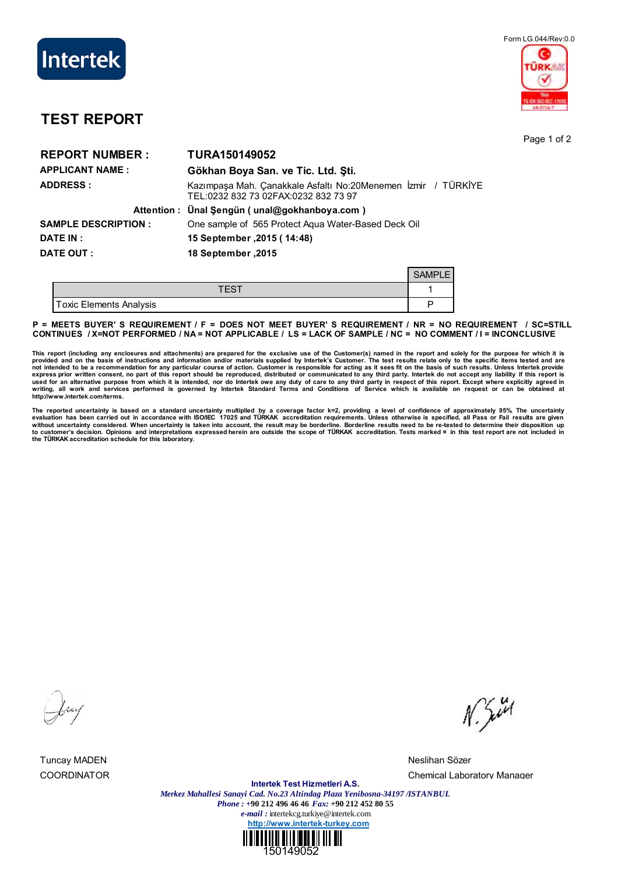

## Form LG.044/Rev:0.0 **DKA5**

## **TEST REPORT**

Page 1 of 2

| <b>REPORT NUMBER:</b>      | TURA150149052                                                                                         |
|----------------------------|-------------------------------------------------------------------------------------------------------|
| <b>APPLICANT NAME:</b>     | Gökhan Boya San. ve Tic. Ltd. Sti.                                                                    |
| <b>ADDRESS:</b>            | Kazımpaşa Mah. Çanakkale Asfaltı No:20Menemen İzmir / TÜRKİYE<br>TEL:0232 832 73 02FAX:0232 832 73 97 |
|                            | Attention: Ünal Şengün (unal@gokhanboya.com)                                                          |
| <b>SAMPLE DESCRIPTION:</b> | One sample of 565 Protect Agua Water-Based Deck Oil                                                   |
| <b>DATE IN :</b>           | 15 September , 2015 (14:48)                                                                           |
| DATE OUT :                 | 18 September .2015                                                                                    |
|                            | <b>SAMPLE</b>                                                                                         |

| <b>Toxic Elements Analysis</b> |  |
|--------------------------------|--|

**P = MEETS BUYER' S REQUIREMENT / F = DOES NOT MEET BUYER' S REQUIREMENT / NR = NO REQUIREMENT / SC=STILL CONTINUES / X=NOT PERFORMED / NA = NOT APPLICABLE / LS = LACK OF SAMPLE / NC = NO COMMENT / I = INCONCLUSIVE**

This report (including any enclosures and attachments) are prepared for the exclusive use of the Customer(s) named in the report and solely for the purpose for which it is<br>provided and on the basis of instructions and info **writing, all work and services performed is governed by Intertek Standard Terms and Conditions of Service which is available on request or can be obtained at http://www.intertek.com/terms.**

The reported uncertainty is based on a standard uncertainty multiplied by a coverage factor k=2, providing a level of confidence of approximately 95%. The uncertainty<br>evaluation has been carried out in accordance with ISO without uncertainty considered. When uncertainty is taken into account, the result may be borderline. Borderline results need to be re-tested to determine their disposition up<br>to customer's decision. Opinions and interpret

Tuncay MADEN Neslihan Sözer

 $N.544$ 

COORDINATOR Chemical Laboratory Manager

**Intertek Test Hizmetleri A.S.** *Merkez Mahallesi Sanayi Cad. No.23 Altindag Plaza Yenibosna-34197 /ISTANBUL Phone : +***90 212 496 46 46** *Fax:* **+90 212 452 80 55** *e-mail :* intertekcg.turkiye@intertek.com **http://www.intertek-turkey.com**